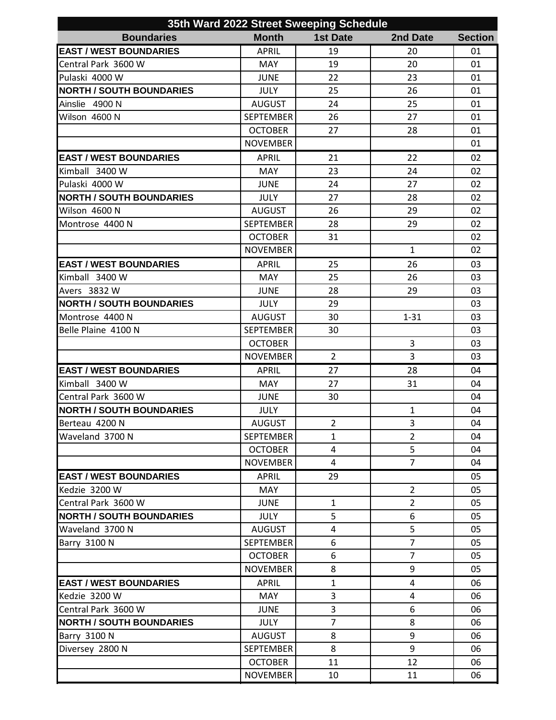| 35th Ward 2022 Street Sweeping Schedule |                  |                 |                |                |  |  |  |
|-----------------------------------------|------------------|-----------------|----------------|----------------|--|--|--|
| <b>Boundaries</b>                       | <b>Month</b>     | <b>1st Date</b> | 2nd Date       | <b>Section</b> |  |  |  |
| <b>EAST / WEST BOUNDARIES</b>           | <b>APRIL</b>     | 19              | 20             | 01             |  |  |  |
| Central Park 3600 W                     | <b>MAY</b>       | 19              | 20             | 01             |  |  |  |
| Pulaski 4000 W                          | <b>JUNE</b>      | 22              | 23             | 01             |  |  |  |
| <b>NORTH / SOUTH BOUNDARIES</b>         | <b>JULY</b>      | 25              | 26             | 01             |  |  |  |
| Ainslie 4900 N                          | <b>AUGUST</b>    | 24              | 25             | 01             |  |  |  |
| Wilson 4600 N                           | <b>SEPTEMBER</b> | 26              | 27             | 01             |  |  |  |
|                                         | <b>OCTOBER</b>   | 27              | 28             | 01             |  |  |  |
|                                         | <b>NOVEMBER</b>  |                 |                | 01             |  |  |  |
| <b>EAST / WEST BOUNDARIES</b>           | <b>APRIL</b>     | 21              | 22             | 02             |  |  |  |
| Kimball 3400 W                          | <b>MAY</b>       | 23              | 24             | 02             |  |  |  |
| Pulaski 4000 W                          | <b>JUNE</b>      | 24              | 27             | 02             |  |  |  |
| <b>NORTH / SOUTH BOUNDARIES</b>         | <b>JULY</b>      | 27              | 28             | 02             |  |  |  |
| Wilson 4600 N                           | <b>AUGUST</b>    | 26              | 29             | 02             |  |  |  |
| Montrose 4400 N                         | <b>SEPTEMBER</b> | 28              | 29             | 02             |  |  |  |
|                                         | <b>OCTOBER</b>   | 31              |                | 02             |  |  |  |
|                                         | <b>NOVEMBER</b>  |                 | $\mathbf{1}$   | 02             |  |  |  |
| <b>EAST / WEST BOUNDARIES</b>           | <b>APRIL</b>     | 25              | 26             | 03             |  |  |  |
| Kimball 3400 W                          | <b>MAY</b>       | 25              | 26             | 03             |  |  |  |
| Avers 3832 W                            | <b>JUNE</b>      | 28              | 29             | 03             |  |  |  |
| <b>NORTH / SOUTH BOUNDARIES</b>         | <b>JULY</b>      | 29              |                | 03             |  |  |  |
| Montrose 4400 N                         | <b>AUGUST</b>    | 30              | $1 - 31$       | 03             |  |  |  |
| Belle Plaine 4100 N                     | <b>SEPTEMBER</b> | 30              |                | 03             |  |  |  |
|                                         | <b>OCTOBER</b>   |                 | 3              | 03             |  |  |  |
|                                         | <b>NOVEMBER</b>  | $\overline{2}$  | 3              | 03             |  |  |  |
| <b>EAST / WEST BOUNDARIES</b>           | <b>APRIL</b>     | 27              | 28             | 04             |  |  |  |
| Kimball 3400 W                          | <b>MAY</b>       | 27              | 31             | 04             |  |  |  |
| Central Park 3600 W                     | <b>JUNE</b>      | 30              |                | 04             |  |  |  |
| <b>NORTH / SOUTH BOUNDARIES</b>         | <b>JULY</b>      |                 | 1              | 04             |  |  |  |
| Berteau 4200 N                          | <b>AUGUST</b>    | $\overline{2}$  | 3              | 04             |  |  |  |
| Waveland 3700 N                         | <b>SEPTEMBER</b> | $\mathbf{1}$    | $\overline{2}$ | 04             |  |  |  |
|                                         | <b>OCTOBER</b>   | 4               | 5              | 04             |  |  |  |
|                                         | <b>NOVEMBER</b>  | $\overline{4}$  | $\overline{7}$ | 04             |  |  |  |
| <b>EAST / WEST BOUNDARIES</b>           | APRIL            | 29              |                | 05             |  |  |  |
| Kedzie 3200 W                           | <b>MAY</b>       |                 | $\overline{2}$ | 05             |  |  |  |
| Central Park 3600 W                     | <b>JUNE</b>      | $\mathbf{1}$    | $\overline{2}$ | 05             |  |  |  |
| <b>NORTH / SOUTH BOUNDARIES</b>         | JULY             | 5               | 6              | 05             |  |  |  |
| Waveland 3700 N                         | <b>AUGUST</b>    | 4               | 5              | 05             |  |  |  |
| Barry 3100 N                            | <b>SEPTEMBER</b> | 6               | $\overline{7}$ | 05             |  |  |  |
|                                         | <b>OCTOBER</b>   | 6               | $\overline{7}$ | 05             |  |  |  |
|                                         | <b>NOVEMBER</b>  | 8               | 9              | 05             |  |  |  |
| <b>EAST / WEST BOUNDARIES</b>           | <b>APRIL</b>     | $\mathbf{1}$    | 4              | 06             |  |  |  |
| Kedzie 3200 W                           | <b>MAY</b>       | 3               | $\overline{4}$ | 06             |  |  |  |
| Central Park 3600 W                     | <b>JUNE</b>      | 3               | 6              | 06             |  |  |  |
| <b>NORTH / SOUTH BOUNDARIES</b>         | <b>JULY</b>      | $\overline{7}$  | 8              | 06             |  |  |  |
| Barry 3100 N                            | <b>AUGUST</b>    | 8               | 9              | 06             |  |  |  |
| Diversey 2800 N                         | <b>SEPTEMBER</b> | 8               | 9              | 06             |  |  |  |
|                                         | <b>OCTOBER</b>   | 11              | 12             | 06             |  |  |  |
|                                         | <b>NOVEMBER</b>  | 10              | 11             | 06             |  |  |  |